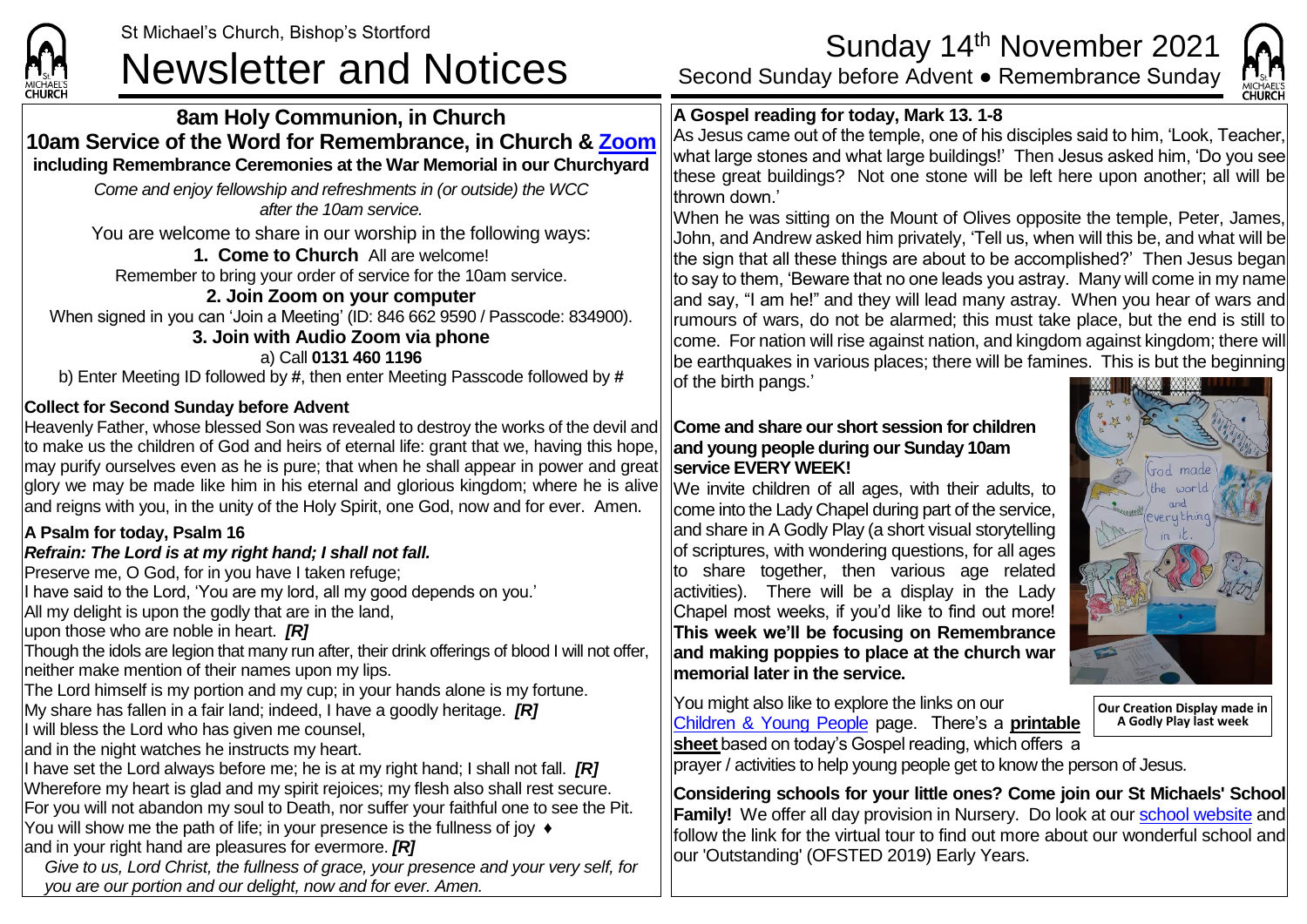

## **8am Holy Communion, in Church 10am Service of the Word for Remembrance, in Church & [Zoom](https://zoom.us/) including Remembrance Ceremonies at the War Memorial in our Churchyard**

*Come and enjoy fellowship and refreshments in (or outside) the WCC after the 10am service.*

You are welcome to share in our worship in the following ways:

**1. Come to Church** All are welcome! Remember to bring your order of service for the 10am service.

**2. Join Zoom on your computer** When signed in you can 'Join a Meeting' (ID: 846 662 9590 / Passcode: 834900).

# **3. Join with Audio Zoom via phone**

a) Call **0131 460 1196** b) Enter Meeting ID followed by **#**, then enter Meeting Passcode followed by **#**

## **Collect for Second Sunday before Advent**

Heavenly Father, whose blessed Son was revealed to destroy the works of the devil and to make us the children of God and heirs of eternal life: grant that we, having this hope, may purify ourselves even as he is pure; that when he shall appear in power and great glory we may be made like him in his eternal and glorious kingdom; where he is alive and reigns with you, in the unity of the Holy Spirit, one God, now and for ever. Amen.

## **A Psalm for today, Psalm 16**

## *Refrain: The Lord is at my right hand; I shall not fall.*

Preserve me, O God, for in you have I taken refuge;

I have said to the Lord, 'You are my lord, all my good depends on you.'

All my delight is upon the godly that are in the land,

upon those who are noble in heart. *[R]*

Though the idols are legion that many run after, their drink offerings of blood I will not offer, neither make mention of their names upon my lips.

The Lord himself is my portion and my cup; in your hands alone is my fortune.

My share has fallen in a fair land; indeed, I have a goodly heritage. *[R]*

I will bless the Lord who has given me counsel,

and in the night watches he instructs my heart.

If have set the Lord always before me; he is at my right hand; I shall not fall. **[R]** Wherefore my heart is glad and my spirit rejoices; my flesh also shall rest secure. For you will not abandon my soul to Death, nor suffer your faithful one to see the Pit. You will show me the path of life; in your presence is the fullness of joy ♦ and in your right hand are pleasures for evermore. *[R]*

*Give to us, Lord Christ, the fullness of grace, your presence and your very self, for you are our portion and our delight, now and for ever. Amen.*

## **A Gospel reading for today, Mark 13. 1-8**



When he was sitting on the Mount of Olives opposite the temple, Peter, James, John, and Andrew asked him privately, 'Tell us, when will this be, and what will be the sign that all these things are about to be accomplished?' Then Jesus began to say to them, 'Beware that no one leads you astray. Many will come in my name and say, "I am he!" and they will lead many astray. When you hear of wars and rumours of wars, do not be alarmed; this must take place, but the end is still to come. For nation will rise against nation, and kingdom against kingdom; there will be earthquakes in various places; there will be famines. This is but the beginning of the birth pangs.'

### **Come and share our short session for children and young people during our Sunday 10am service EVERY WEEK!**

We invite children of all ages, with their adults, to come into the Lady Chapel during part of the service, and share in A Godly Play (a short visual storytelling of scriptures, with wondering questions, for all ages to share together, then various age related activities). There will be a display in the Lady Chapel most weeks, if you'd like to find out more! **This week we'll be focusing on Remembrance and making poppies to place at the church war memorial later in the service.**

You might also like to explore the links on our [Children & Young People](https://saintmichaelweb.org.uk/Groups/310496/Children_and_Young.aspx) page. There's a **[printable](https://saintmichaelweb.org.uk/Groups/310496/Children_and_Young.aspx)  [sheet](https://saintmichaelweb.org.uk/Groups/310496/Children_and_Young.aspx)** based on today's Gospel reading, which offers a



CHURCH

**Our Creation Display made in A Godly Play last week**

prayer / activities to help young people get to know the person of Jesus.

**Considering schools for your little ones? Come join our St Michaels' School Family!** We offer all day provision in Nursery. Do look at our [school website](https://www.stmichaelsjmi.herts.sch.uk/) and follow the link for the virtual tour to find out more about our wonderful school and our 'Outstanding' (OFSTED 2019) Early Years.